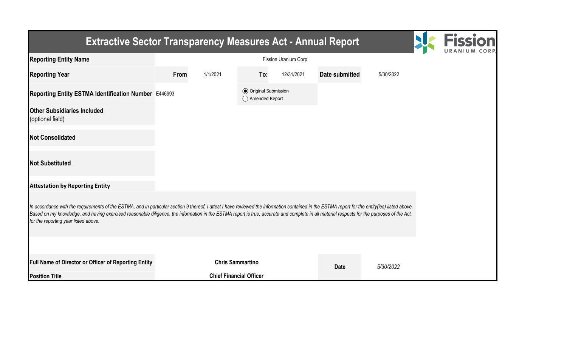| <b>Extractive Sector Transparency Measures Act - Annual Report</b>                                                                                                                                                                                                                                                                                                                                                                    |      |                                |                                                  |            |                |           |  |
|---------------------------------------------------------------------------------------------------------------------------------------------------------------------------------------------------------------------------------------------------------------------------------------------------------------------------------------------------------------------------------------------------------------------------------------|------|--------------------------------|--------------------------------------------------|------------|----------------|-----------|--|
| <b>Reporting Entity Name</b>                                                                                                                                                                                                                                                                                                                                                                                                          |      |                                |                                                  |            |                |           |  |
| <b>Reporting Year</b>                                                                                                                                                                                                                                                                                                                                                                                                                 | From | 1/1/2021                       | To:                                              | 12/31/2021 | Date submitted | 5/30/2022 |  |
| Reporting Entity ESTMA Identification Number E446993                                                                                                                                                                                                                                                                                                                                                                                  |      |                                | <b>◎</b> Original Submission<br>◯ Amended Report |            |                |           |  |
| <b>Other Subsidiaries Included</b><br>(optional field)                                                                                                                                                                                                                                                                                                                                                                                |      |                                |                                                  |            |                |           |  |
| <b>Not Consolidated</b>                                                                                                                                                                                                                                                                                                                                                                                                               |      |                                |                                                  |            |                |           |  |
| <b>Not Substituted</b>                                                                                                                                                                                                                                                                                                                                                                                                                |      |                                |                                                  |            |                |           |  |
| <b>Attestation by Reporting Entity</b>                                                                                                                                                                                                                                                                                                                                                                                                |      |                                |                                                  |            |                |           |  |
| In accordance with the requirements of the ESTMA, and in particular section 9 thereof, I attest I have reviewed the information contained in the ESTMA report for the entity(ies) listed above.<br>Based on my knowledge, and having exercised reasonable diligence, the information in the ESTMA report is true, accurate and complete in all material respects for the purposes of the Act,<br>for the reporting year listed above. |      |                                |                                                  |            |                |           |  |
|                                                                                                                                                                                                                                                                                                                                                                                                                                       |      |                                |                                                  |            |                |           |  |
| Full Name of Director or Officer of Reporting Entity                                                                                                                                                                                                                                                                                                                                                                                  |      | <b>Chris Sammartino</b>        |                                                  |            | <b>Date</b>    | 5/30/2022 |  |
| <b>Position Title</b>                                                                                                                                                                                                                                                                                                                                                                                                                 |      | <b>Chief Financial Officer</b> |                                                  |            |                |           |  |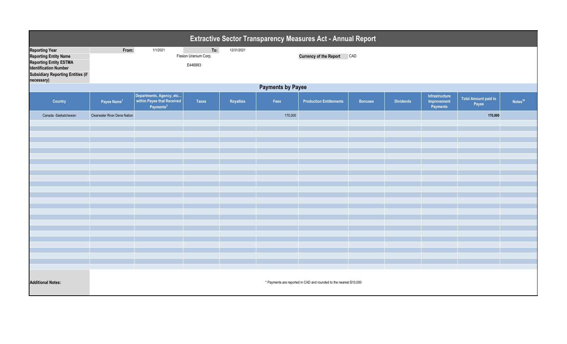| <b>Extractive Sector Transparency Measures Act - Annual Report</b>                                                                                                               |                                                                                                                 |                                                                                 |              |           |         |                                |                |                  |                                           |                                      |                     |
|----------------------------------------------------------------------------------------------------------------------------------------------------------------------------------|-----------------------------------------------------------------------------------------------------------------|---------------------------------------------------------------------------------|--------------|-----------|---------|--------------------------------|----------------|------------------|-------------------------------------------|--------------------------------------|---------------------|
| <b>Reporting Year</b><br><b>Reporting Entity Name</b><br><b>Reporting Entity ESTMA</b><br><b>Identification Number</b><br><b>Subsidiary Reporting Entities (if</b><br>necessary) | To:<br>From:<br>1/1/2021<br>12/31/2021<br>Fission Uranium Corp.<br><b>Currency of the Report CAD</b><br>E446993 |                                                                                 |              |           |         |                                |                |                  |                                           |                                      |                     |
| <b>Payments by Payee</b>                                                                                                                                                         |                                                                                                                 |                                                                                 |              |           |         |                                |                |                  |                                           |                                      |                     |
| Country                                                                                                                                                                          | Payee Name <sup>1</sup>                                                                                         | Departments, Agency, etc<br>within Payee that Received<br>Payments <sup>2</sup> | <b>Taxes</b> | Royalties | Fees    | <b>Production Entitlements</b> | <b>Bonuses</b> | <b>Dividends</b> | Infrastructure<br>Improvement<br>Payments | <b>Total Amount paid to</b><br>Payee | Notes <sup>34</sup> |
| Canada -Saskatchewan                                                                                                                                                             | <b>Clearwater River Dene Nation</b>                                                                             |                                                                                 |              |           | 170,000 |                                |                |                  |                                           | 170,000                              |                     |
|                                                                                                                                                                                  |                                                                                                                 |                                                                                 |              |           |         |                                |                |                  |                                           |                                      |                     |
|                                                                                                                                                                                  |                                                                                                                 |                                                                                 |              |           |         |                                |                |                  |                                           |                                      |                     |
|                                                                                                                                                                                  |                                                                                                                 |                                                                                 |              |           |         |                                |                |                  |                                           |                                      |                     |
|                                                                                                                                                                                  |                                                                                                                 |                                                                                 |              |           |         |                                |                |                  |                                           |                                      |                     |
|                                                                                                                                                                                  |                                                                                                                 |                                                                                 |              |           |         |                                |                |                  |                                           |                                      |                     |
|                                                                                                                                                                                  |                                                                                                                 |                                                                                 |              |           |         |                                |                |                  |                                           |                                      |                     |
|                                                                                                                                                                                  |                                                                                                                 |                                                                                 |              |           |         |                                |                |                  |                                           |                                      |                     |
|                                                                                                                                                                                  |                                                                                                                 |                                                                                 |              |           |         |                                |                |                  |                                           |                                      |                     |
|                                                                                                                                                                                  |                                                                                                                 |                                                                                 |              |           |         |                                |                |                  |                                           |                                      |                     |
|                                                                                                                                                                                  |                                                                                                                 |                                                                                 |              |           |         |                                |                |                  |                                           |                                      |                     |
|                                                                                                                                                                                  |                                                                                                                 |                                                                                 |              |           |         |                                |                |                  |                                           |                                      |                     |
|                                                                                                                                                                                  |                                                                                                                 |                                                                                 |              |           |         |                                |                |                  |                                           |                                      |                     |
|                                                                                                                                                                                  |                                                                                                                 |                                                                                 |              |           |         |                                |                |                  |                                           |                                      |                     |
|                                                                                                                                                                                  |                                                                                                                 |                                                                                 |              |           |         |                                |                |                  |                                           |                                      |                     |
|                                                                                                                                                                                  |                                                                                                                 |                                                                                 |              |           |         |                                |                |                  |                                           |                                      |                     |
|                                                                                                                                                                                  |                                                                                                                 |                                                                                 |              |           |         |                                |                |                  |                                           |                                      |                     |
|                                                                                                                                                                                  |                                                                                                                 |                                                                                 |              |           |         |                                |                |                  |                                           |                                      |                     |
| <b>Additional Notes:</b>                                                                                                                                                         | * Payments are reported in CAD and rounded to the nearest \$10,000                                              |                                                                                 |              |           |         |                                |                |                  |                                           |                                      |                     |